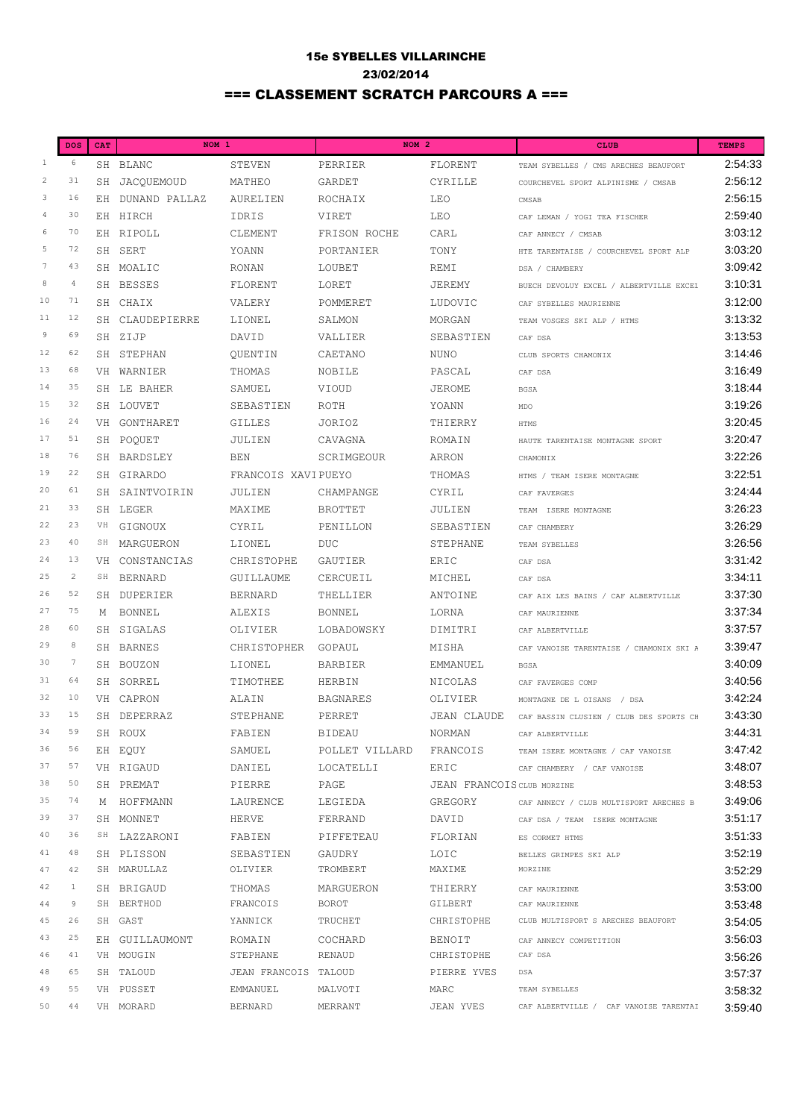## 15e SYBELLES VILLARINCHE 23/02/2014 === CLASSEMENT SCRATCH PARCOURS A ===

|                  | <b>DOS</b>      | CAT | NOM <sub>1</sub> |                      | NOM <sub>2</sub> |                            | <b>CLUB</b>                             | <b>TEMPS</b> |
|------------------|-----------------|-----|------------------|----------------------|------------------|----------------------------|-----------------------------------------|--------------|
| $\mathbf{1}$     | 6               |     | SH BLANC         | STEVEN               | PERRIER          | FLORENT                    | TEAM SYBELLES / CMS ARECHES BEAUFORT    | 2:54:33      |
| $\overline{c}$   | 31              |     | SH JACOUEMOUD    | MATHEO               | GARDET           | CYRILLE                    | COURCHEVEL SPORT ALPINISME / CMSAB      | 2:56:12      |
| 3                | 16              |     | EH DUNAND PALLAZ | AURELIEN             | ROCHAIX          | LEO                        | CMSAB                                   | 2:56:15      |
| $\overline{4}$   | 30              |     | EH HIRCH         | <b>IDRIS</b>         | VIRET            | LEO                        | CAF LEMAN / YOGI TEA FISCHER            | 2:59:40      |
| 6                | 70              |     | EH RIPOLL        | CLEMENT              | FRISON ROCHE     | CARL                       | CAF ANNECY / CMSAB                      | 3:03:12      |
| 5                | 72              |     | SH SERT          | YOANN                | PORTANIER        | TONY                       | HTE TARENTAISE / COURCHEVEL SPORT ALP   | 3:03:20      |
| $\boldsymbol{7}$ | 43              |     | SH MOALIC        | <b>RONAN</b>         | LOUBET           | REMI                       | DSA / CHAMBERY                          | 3:09:42      |
| 8                | $\overline{4}$  |     | SH BESSES        | FLORENT              | LORET            | JEREMY                     | BUECH DEVOLUY EXCEL / ALBERTVILLE EXCEL | 3:10:31      |
| 10               | 71              |     | SH CHAIX         | VALERY               | POMMERET         | LUDOVIC                    | CAF SYBELLES MAURIENNE                  | 3:12:00      |
| 11               | 12              |     | SH CLAUDEPIERRE  | LIONEL               | SALMON           | MORGAN                     | TEAM VOSGES SKI ALP / HTMS              | 3:13:32      |
| $\overline{9}$   | 69              |     | SH ZIJP          | DAVID                | VALLIER          | SEBASTIEN                  | CAF DSA                                 | 3:13:53      |
| 12               | 62              |     | SH STEPHAN       | OUENTIN              | CAETANO          | <b>NUNO</b>                | CLUB SPORTS CHAMONIX                    | 3:14:46      |
| 13               | 68              |     | VH WARNIER       | THOMAS               | NOBILE           | PASCAL                     | CAF DSA                                 | 3:16:49      |
| 14               | 35              |     | SH LE BAHER      | SAMUEL               | VIOUD            | <b>JEROME</b>              | <b>BGSA</b>                             | 3:18:44      |
| 15               | 32              |     | SH LOUVET        | SEBASTIEN            | ROTH             | YOANN                      | MDO                                     | 3:19:26      |
| 16               | 24              |     | VH GONTHARET     | <b>GILLES</b>        | JORIOZ           | THIERRY                    | <b>HTMS</b>                             | 3:20:45      |
| 17               | 51              |     | SH POQUET        | JULIEN               | CAVAGNA          | ROMAIN                     | HAUTE TARENTAISE MONTAGNE SPORT         | 3:20:47      |
| 18               | 76              |     | SH BARDSLEY      | <b>BEN</b>           | SCRIMGEOUR       | ARRON                      | CHAMONIX                                | 3:22:26      |
| 19               | 22              |     | SH GIRARDO       | FRANCOIS XAVIPUEYO   |                  | THOMAS                     | HTMS / TEAM ISERE MONTAGNE              | 3:22:51      |
| 20               | 61              |     | SH SAINTVOIRIN   | JULIEN               | CHAMPANGE        | CYRIL                      | CAF FAVERGES                            | 3:24:44      |
| $2\,1$           | 33              |     | SH LEGER         | MAXIME               | <b>BROTTET</b>   | JULIEN                     | TEAM ISERE MONTAGNE                     | 3:26:23      |
| 22               | 23              | VH  | GIGNOUX          | CYRIL                | PENILLON         | SEBASTIEN                  | CAF CHAMBERY                            | 3:26:29      |
| 23               | 40              | SH  | MARGUERON        | LIONEL               | <b>DUC</b>       | STEPHANE                   | TEAM SYBELLES                           | 3:26:56      |
| 24               | 13              | VH  | CONSTANCIAS      | CHRISTOPHE           | GAUTIER          | ERIC                       | CAF DSA                                 | 3:31:42      |
| 25               | $\overline{c}$  | SH  | <b>BERNARD</b>   | GUILLAUME            | CERCUEIL         | MICHEL                     | CAF DSA                                 | 3:34:11      |
| 26               | 52              |     | SH DUPERIER      | <b>BERNARD</b>       | THELLIER         | ANTOINE                    | CAF AIX LES BAINS / CAF ALBERTVILLE     | 3:37:30      |
| 27               | 75              | M   | <b>BONNEL</b>    | <b>ALEXIS</b>        | <b>BONNEL</b>    | LORNA                      | CAF MAURIENNE                           | 3:37:34      |
| 28               | 60              |     | SH SIGALAS       | OLIVIER              | LOBADOWSKY       | DIMITRI                    | CAF ALBERTVILLE                         | 3:37:57      |
| 29               | 8               |     | SH BARNES        | CHRISTOPHER          | GOPAUL           | MISHA                      | CAF VANOISE TARENTAISE / CHAMONIX SKI A | 3:39:47      |
| 30               | $7\phantom{.0}$ |     | SH BOUZON        | LIONEL               | <b>BARBIER</b>   | EMMANUEL                   | <b>BGSA</b>                             | 3:40:09      |
| 31               | 64              |     | SH SORREL        | TIMOTHEE             | HERBIN           | NICOLAS                    | CAF FAVERGES COMP                       | 3:40:56      |
| 32               | 10              |     | VH CAPRON        | ALAIN                | <b>BAGNARES</b>  | OLIVIER                    | MONTAGNE DE L OISANS<br>/ DSA           | 3:42:24      |
| 33               | 15              |     | SH DEPERRAZ      | STEPHANE             | PERRET           | <b>JEAN CLAUDE</b>         | CAF BASSIN CLUSIEN / CLUB DES SPORTS CH | 3:43:30      |
| 34               | 59              |     | SH ROUX          | FABIEN               | BIDEAU           | NORMAN                     | CAF ALBERTVILLE                         | 3:44:31      |
| 36               | 56              |     | EH EQUY          | SAMUEL               | POLLET VILLARD   | FRANCOIS                   | TEAM ISERE MONTAGNE / CAF VANOISE       | 3:47:42      |
| 37               | 57              |     | VH RIGAUD        | DANIEL               | LOCATELLI        | ERIC                       | CAF CHAMBERY / CAF VANOISE              | 3:48:07      |
| 38               | 50              |     | SH PREMAT        | PIERRE               | PAGE             | JEAN FRANCOIS CLUB MORZINE |                                         | 3:48:53      |
| 35               | 74              |     | M HOFFMANN       | LAURENCE             | LEGIEDA          | GREGORY                    | CAF ANNECY / CLUB MULTISPORT ARECHES B  | 3:49:06      |
| 39               | 37              |     | SH MONNET        | HERVE                | FERRAND          | DAVID                      | CAF DSA / TEAM ISERE MONTAGNE           | 3:51:17      |
| 40               | 36              |     | SH LAZZARONI     | FABIEN               | PIFFETEAU        | FLORIAN                    | ES CORMET HTMS                          | 3:51:33      |
| 41               | 48              |     | SH PLISSON       | SEBASTIEN            | GAUDRY           | LOIC                       | BELLES GRIMPES SKI ALP                  | 3:52:19      |
| 47               | 42              |     | SH MARULLAZ      | OLIVIER              | TROMBERT         | MAXIME                     | MORZINE                                 | 3:52:29      |
| 42               | $\mathbf{1}$    |     | SH BRIGAUD       | THOMAS               | MARGUERON        | THIERRY                    | CAF MAURIENNE                           | 3:53:00      |
| 44               | 9               |     | SH BERTHOD       | FRANCOIS             | <b>BOROT</b>     | GILBERT                    | CAF MAURIENNE                           | 3:53:48      |
| 45               | 26              |     | SH GAST          | YANNICK              | TRUCHET          | CHRISTOPHE                 | CLUB MULTISPORT S ARECHES BEAUFORT      | 3:54:05      |
| 43               | 25              |     | EH GUILLAUMONT   | ROMAIN               | COCHARD          | BENOIT                     | CAF ANNECY COMPETITION                  | 3:56:03      |
| 46               | 41              |     | VH MOUGIN        | STEPHANE             | RENAUD           | CHRISTOPHE                 | CAF DSA                                 | 3:56:26      |
| 48               | 65              |     | SH TALOUD        | JEAN FRANCOIS TALOUD |                  | PIERRE YVES                | DSA                                     | 3:57:37      |
| 49               | 55              |     | VH PUSSET        | EMMANUEL             | MALVOTI          | MARC                       | TEAM SYBELLES                           | 3:58:32      |
| 50               | 44              |     | VH MORARD        | BERNARD              | MERRANT          | JEAN YVES                  | CAF ALBERTVILLE / CAF VANOISE TARENTAI  | 3:59:40      |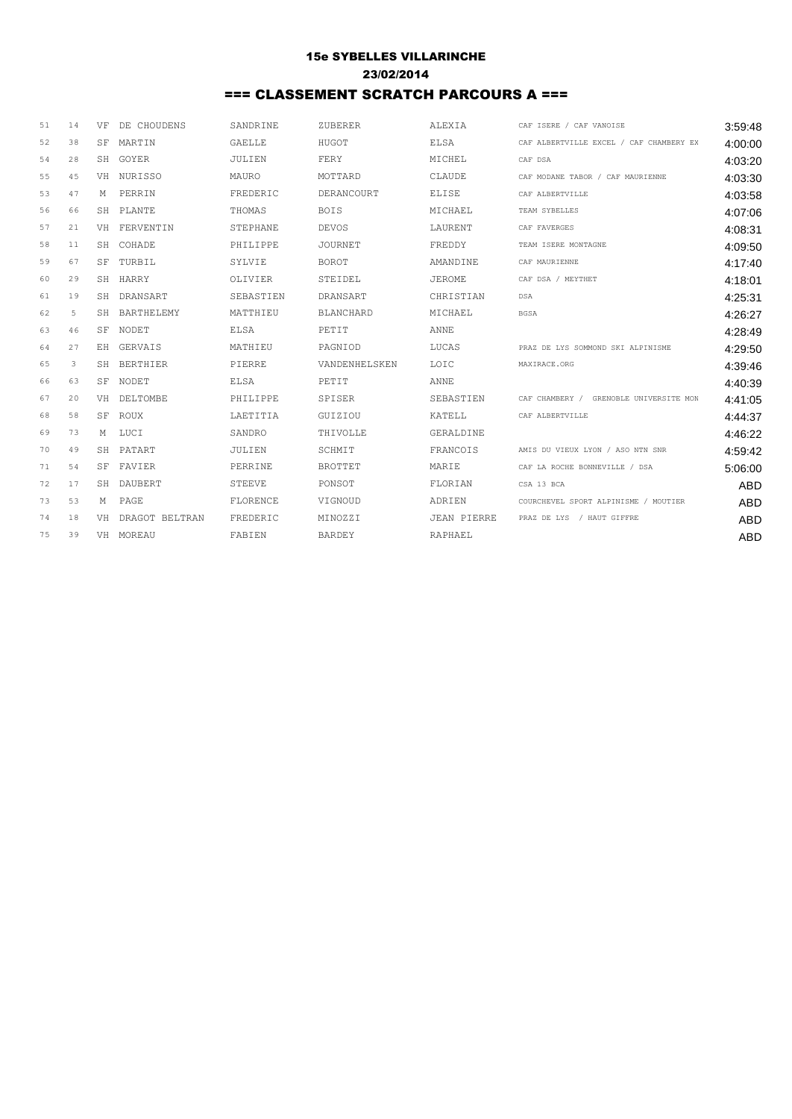## 15e SYBELLES VILLARINCHE 23/02/2014 === CLASSEMENT SCRATCH PARCOURS A ===

| 51 | 14 | VF  | DE CHOUDENS       | SANDRINE      | ZUBERER          | ALEXIA             | CAF ISERE / CAF VANOISE                 | 3:59:48    |
|----|----|-----|-------------------|---------------|------------------|--------------------|-----------------------------------------|------------|
| 52 | 38 | SF. | MARTIN            | <b>GAELLE</b> | HUGOT            | <b>ELSA</b>        | CAF ALBERTVILLE EXCEL / CAF CHAMBERY EX | 4:00:00    |
| 54 | 28 |     | SH GOYER          | JULIEN        | FERY             | MICHEL             | CAF DSA                                 | 4:03:20    |
| 55 | 45 |     | VH NURISSO        | MAURO         | MOTTARD          | CLAUDE             | CAF MODANE TABOR / CAF MAURIENNE        | 4:03:30    |
| 53 | 47 | M   | PERRIN            | FREDERIC      | DERANCOURT       | <b>ELISE</b>       | CAF ALBERTVILLE                         | 4:03:58    |
| 56 | 66 | SH  | PLANTE            | THOMAS        | <b>BOIS</b>      | MICHAEL            | TEAM SYBELLES                           | 4:07:06    |
| 57 | 21 |     | VH FERVENTIN      | STEPHANE      | <b>DEVOS</b>     | LAURENT            | CAF FAVERGES                            | 4:08:31    |
| 58 | 11 | SH  | COHADE            | PHILIPPE      | <b>JOURNET</b>   | FREDDY             | TEAM ISERE MONTAGNE                     | 4:09:50    |
| 59 | 67 | SF  | TURBIL.           | SYLVIE        | <b>BOROT</b>     | <b>AMANDINE</b>    | CAF MAURIENNE                           | 4:17:40    |
| 60 | 29 | SH  | HARRY             | OLIVIER       | STEIDEL          | <b>JEROME</b>      | CAF DSA / MEYTHET                       | 4:18:01    |
| 61 | 19 | SH  | DRANSART          | SEBASTIEN     | DRANSART         | CHRISTIAN          | DSA                                     | 4:25:31    |
| 62 | 5  | SH  | <b>BARTHELEMY</b> | MATTHIEU      | <b>BLANCHARD</b> | MICHAEL            | <b>BGSA</b>                             | 4:26:27    |
| 63 | 46 | SF. | <b>NODET</b>      | <b>ELSA</b>   | PETTT            | ANNE.              |                                         | 4:28:49    |
| 64 | 27 | EH  | <b>GERVAIS</b>    | MATHIEU       | PAGNIOD          | LUCAS              | PRAZ DE LYS SOMMOND SKI ALPINISME       | 4:29:50    |
| 65 | 3  | SH  | <b>BERTHIER</b>   | PIERRE        | VANDENHELSKEN    | LOIC               | MAXIRACE.ORG                            | 4:39:46    |
| 66 | 63 | SF  | NODET             | <b>ELSA</b>   | PETIT            | ANNE               |                                         | 4:40:39    |
| 67 | 20 |     | VH DELTOMBE       | PHILIPPE      | SPISER           | SEBASTIEN          | CAF CHAMBERY / GRENOBLE UNIVERSITE MON  | 4:41:05    |
| 68 | 58 | SF  | ROUX              | LAETITIA      | GUIZIOU          | KATELL             | CAF ALBERTVILLE                         | 4:44:37    |
| 69 | 73 |     | M LUCI            | SANDRO        | THIVOLLE         | GERALDINE          |                                         | 4:46:22    |
| 70 | 49 |     | SH PATART         | JULIEN        | SCHMIT           | FRANCOTS           | AMIS DU VIEUX LYON / ASO NTN SNR        | 4:59:42    |
| 71 | 54 |     | SF FAVIER         | PERRINE       | <b>BROTTET</b>   | MARIE              | CAF LA ROCHE BONNEVILLE / DSA           | 5:06:00    |
| 72 | 17 | SH  | DAUBERT           | <b>STEEVE</b> | PONSOT           | FLORIAN            | CSA 13 BCA                              | <b>ABD</b> |
| 73 | 53 | М   | PAGE              | FLORENCE      | VIGNOUD          | ADRIEN             | COURCHEVEL SPORT ALPINISME / MOUTIER    | <b>ABD</b> |
| 74 | 18 | VH  | DRAGOT BELTRAN    | FREDERIC      | MINOZZI          | <b>JEAN PIERRE</b> | PRAZ DE LYS / HAUT GIFFRE               | <b>ABD</b> |
| 75 | 39 |     | VH MOREAU         | FABIEN        | <b>BARDEY</b>    | RAPHAEL            |                                         | <b>ABD</b> |